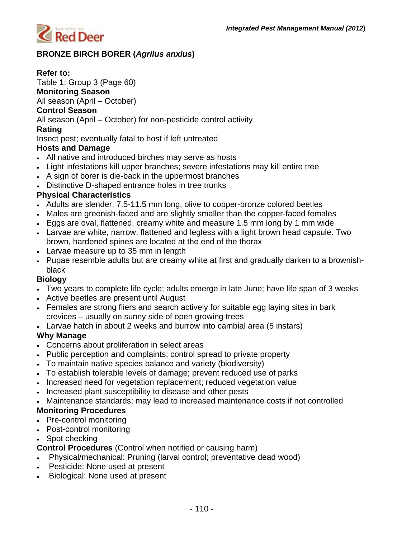

# **BRONZE BIRCH BORER (***Agrilus anxius***)**

## **Refer to:**

Table 1; Group 3 (Page 60)

**Monitoring Season** 

All season (April – October)

### **Control Season**

All season (April – October) for non-pesticide control activity

### **Rating**

Insect pest; eventually fatal to host if left untreated

### **Hosts and Damage**

- All native and introduced birches may serve as hosts
- Light infestations kill upper branches; severe infestations may kill entire tree
- A sign of borer is die-back in the uppermost branches
- Distinctive D-shaped entrance holes in tree trunks

## **Physical Characteristics**

- Adults are slender, 7.5-11.5 mm long, olive to copper-bronze colored beetles
- Males are greenish-faced and are slightly smaller than the copper-faced females
- Eggs are oval, flattened, creamy white and measure 1.5 mm long by 1 mm wide
- Larvae are white, narrow, flattened and legless with a light brown head capsule. Two brown, hardened spines are located at the end of the thorax
- Larvae measure up to 35 mm in length
- Pupae resemble adults but are creamy white at first and gradually darken to a brownishblack

#### **Biology**

- Two years to complete life cycle; adults emerge in late June; have life span of 3 weeks
- Active beetles are present until August
- Females are strong fliers and search actively for suitable egg laying sites in bark crevices – usually on sunny side of open growing trees
- Larvae hatch in about 2 weeks and burrow into cambial area (5 instars)

## **Why Manage**

- Concerns about proliferation in select areas
- Public perception and complaints; control spread to private property
- To maintain native species balance and variety (biodiversity)
- To establish tolerable levels of damage; prevent reduced use of parks
- Increased need for vegetation replacement; reduced vegetation value
- Increased plant susceptibility to disease and other pests
- Maintenance standards; may lead to increased maintenance costs if not controlled

## **Monitoring Procedures**

- Pre-control monitoring
- Post-control monitoring
- Spot checking

**Control Procedures** (Control when notified or causing harm)

- Physical/mechanical: Pruning (larval control; preventative dead wood)
- Pesticide: None used at present
- Biological: None used at present